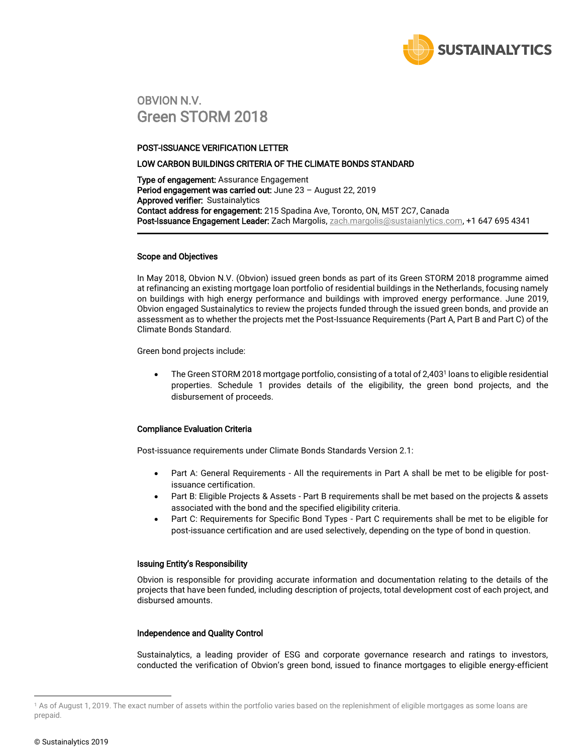

### OBVION N.V. Green STORM 2018

#### POST-ISSUANCE VERIFICATION LETTER

#### LOW CARBON BUILDINGS CRITERIA OF THE CLIMATE BONDS STANDARD

**Type of engagement:** Assurance Engagement Period engagement was carried out: June 23 - August 22, 2019 Approved verifier: Sustainalytics Contact address for engagement: 215 Spadina Ave, Toronto, ON, M5T 2C7, Canada Post-Issuance Engagement Leader: Zach Margolis[, zach.margolis@sustaianlytics.com,](mailto:vikram.puppala@sustainalytics.com) +1 647 695 4341

#### Scope and Objectives

In May 2018, Obvion N.V. (Obvion) issued green bonds as part of its Green STORM 2018 programme aimed at refinancing an existing mortgage loan portfolio of residential buildings in the Netherlands, focusing namely on buildings with high energy performance and buildings with improved energy performance. June 2019, Obvion engaged Sustainalytics to review the projects funded through the issued green bonds, and provide an assessment as to whether the projects met the Post-Issuance Requirements (Part A, Part B and Part C) of the Climate Bonds Standard.

Green bond projects include:

 The Green STORM 2018 mortgage portfolio, consisting of a total of 2,403<sup>1</sup> loans to eligible residential properties. Schedule 1 provides details of the eligibility, the green bond projects, and the disbursement of proceeds.

#### Compliance Evaluation Criteria

Post-issuance requirements under Climate Bonds Standards Version 2.1:

- Part A: General Requirements All the requirements in Part A shall be met to be eligible for postissuance certification.
- Part B: Eligible Projects & Assets Part B requirements shall be met based on the projects & assets associated with the bond and the specified eligibility criteria.
- Part C: Requirements for Specific Bond Types Part C requirements shall be met to be eligible for post-issuance certification and are used selectively, depending on the type of bond in question.

#### Issuing Entity's Responsibility

Obvion is responsible for providing accurate information and documentation relating to the details of the projects that have been funded, including description of projects, total development cost of each project, and disbursed amounts.

#### Independence and Quality Control

Sustainalytics, a leading provider of ESG and corporate governance research and ratings to investors, conducted the verification of Obvion's green bond, issued to finance mortgages to eligible energy-efficient

 $\overline{a}$ 

<sup>1</sup> As of August 1, 2019. The exact number of assets within the portfolio varies based on the replenishment of eligible mortgages as some loans are prepaid.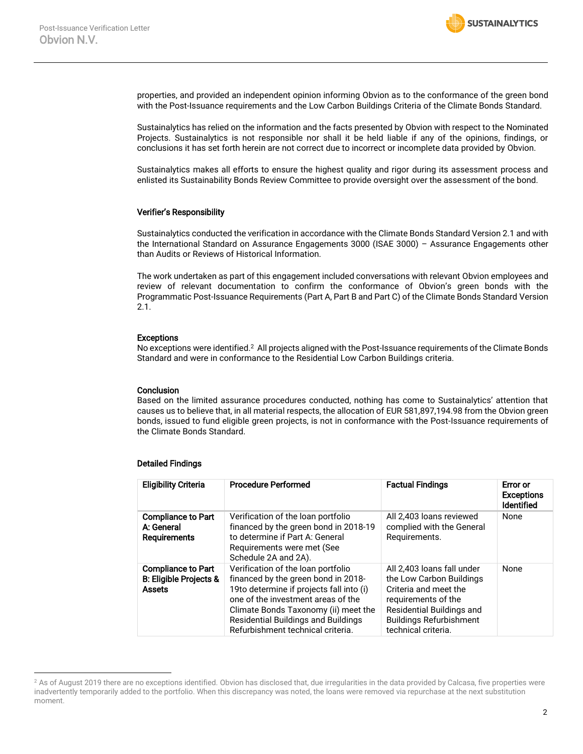

properties, and provided an independent opinion informing Obvion as to the conformance of the green bond with the Post-Issuance requirements and the Low Carbon Buildings Criteria of the Climate Bonds Standard.

Sustainalytics has relied on the information and the facts presented by Obvion with respect to the Nominated Projects. Sustainalytics is not responsible nor shall it be held liable if any of the opinions, findings, or conclusions it has set forth herein are not correct due to incorrect or incomplete data provided by Obvion.

Sustainalytics makes all efforts to ensure the highest quality and rigor during its assessment process and enlisted its Sustainability Bonds Review Committee to provide oversight over the assessment of the bond.

#### Verifier's Responsibility

Sustainalytics conducted the verification in accordance with the Climate Bonds Standard Version 2.1 and with the International Standard on Assurance Engagements 3000 (ISAE 3000) – Assurance Engagements other than Audits or Reviews of Historical Information.

The work undertaken as part of this engagement included conversations with relevant Obvion employees and review of relevant documentation to confirm the conformance of Obvion's green bonds with the Programmatic Post-Issuance Requirements (Part A, Part B and Part C) of the Climate Bonds Standard Version 2.1.

#### Exceptions

No exceptions were identified.<sup>2</sup> All projects aligned with the Post-Issuance requirements of the Climate Bonds Standard and were in conformance to the Residential Low Carbon Buildings criteria.

#### **Conclusion**

Based on the limited assurance procedures conducted, nothing has come to Sustainalytics' attention that causes us to believe that, in all material respects, the allocation of EUR 581,897,194.98 from the Obvion green bonds, issued to fund eligible green projects, is not in conformance with the Post-Issuance requirements of the Climate Bonds Standard.

#### Detailed Findings

 $\overline{a}$ 

| <b>Eligibility Criteria</b>                                                     | <b>Procedure Performed</b>                                                                                                                                                                                                                                                             | <b>Factual Findings</b>                                                                                                                                                                      | Error or<br><b>Exceptions</b><br><b>Identified</b> |
|---------------------------------------------------------------------------------|----------------------------------------------------------------------------------------------------------------------------------------------------------------------------------------------------------------------------------------------------------------------------------------|----------------------------------------------------------------------------------------------------------------------------------------------------------------------------------------------|----------------------------------------------------|
| <b>Compliance to Part</b><br>A: General<br><b>Requirements</b>                  | Verification of the loan portfolio<br>financed by the green bond in 2018-19<br>to determine if Part A: General<br>Requirements were met (See<br>Schedule 2A and 2A).                                                                                                                   | All 2.403 loans reviewed<br>complied with the General<br>Requirements.                                                                                                                       | None                                               |
| <b>Compliance to Part</b><br><b>B: Eligible Projects &amp;</b><br><b>Assets</b> | Verification of the loan portfolio<br>financed by the green bond in 2018-<br>19to determine if projects fall into (i)<br>one of the investment areas of the<br>Climate Bonds Taxonomy (ii) meet the<br><b>Residential Buildings and Buildings</b><br>Refurbishment technical criteria. | All 2,403 loans fall under<br>the Low Carbon Buildings<br>Criteria and meet the<br>requirements of the<br>Residential Buildings and<br><b>Buildings Refurbishment</b><br>technical criteria. | None                                               |

<sup>&</sup>lt;sup>2</sup> As of August 2019 there are no exceptions identified. Obvion has disclosed that, due irregularities in the data provided by Calcasa, five properties were inadvertently temporarily added to the portfolio. When this discrepancy was noted, the loans were removed via repurchase at the next substitution moment.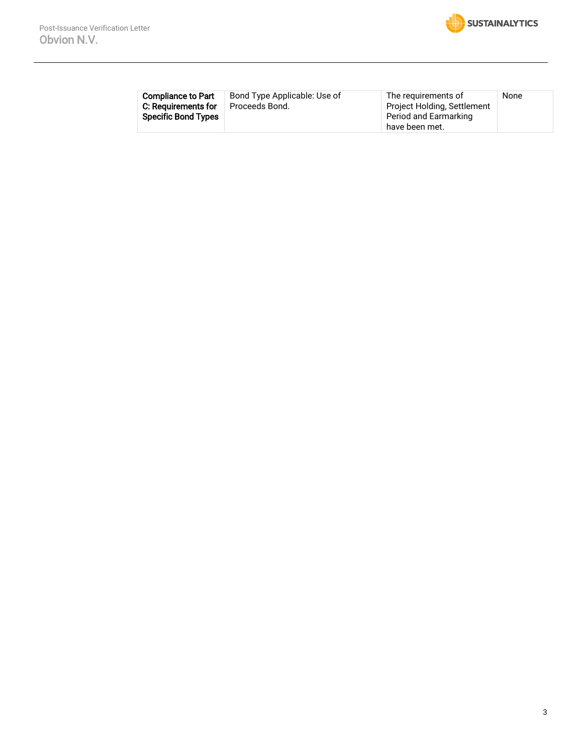

| <b>Compliance to Part</b>  | Bond Type Applicable: Use of | The requirements of         | None |
|----------------------------|------------------------------|-----------------------------|------|
| C: Reauirements for        | Proceeds Bond.               | Project Holding, Settlement |      |
| <b>Specific Bond Types</b> |                              | Period and Earmarking       |      |
|                            |                              | have been met.              |      |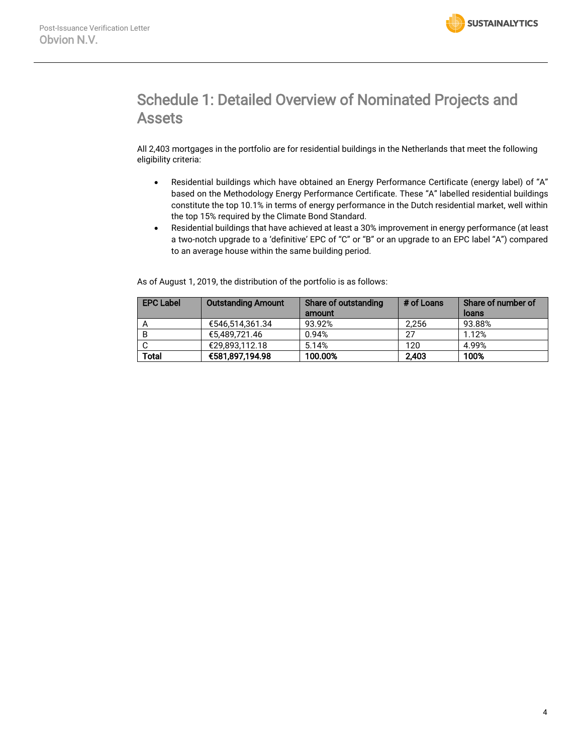

## Schedule 1: Detailed Overview of Nominated Projects and Assets

All 2,403 mortgages in the portfolio are for residential buildings in the Netherlands that meet the following eligibility criteria:

- Residential buildings which have obtained an Energy Performance Certificate (energy label) of "A" based on the Methodology Energy Performance Certificate. These "A" labelled residential buildings constitute the top 10.1% in terms of energy performance in the Dutch residential market, well within the top 15% required by the Climate Bond Standard.
- Residential buildings that have achieved at least a 30% improvement in energy performance (at least a two-notch upgrade to a 'definitive' EPC of "C" or "B" or an upgrade to an EPC label "A") compared to an average house within the same building period.

As of August 1, 2019, the distribution of the portfolio is as follows:

| <b>EPC Label</b> | <b>Outstanding Amount</b> | Share of outstanding<br>amount | # of Loans | Share of number of<br>loans |
|------------------|---------------------------|--------------------------------|------------|-----------------------------|
|                  | €546.514.361.34           | 93.92%                         | 2.256      | 93.88%                      |
| B                | €5.489.721.46             | 0.94%                          | 27         | 1.12%                       |
|                  | €29.893.112.18            | 5.14%                          | 120        | 4.99%                       |
| Total            | €581,897,194.98           | 100.00%                        | 2.403      | 100%                        |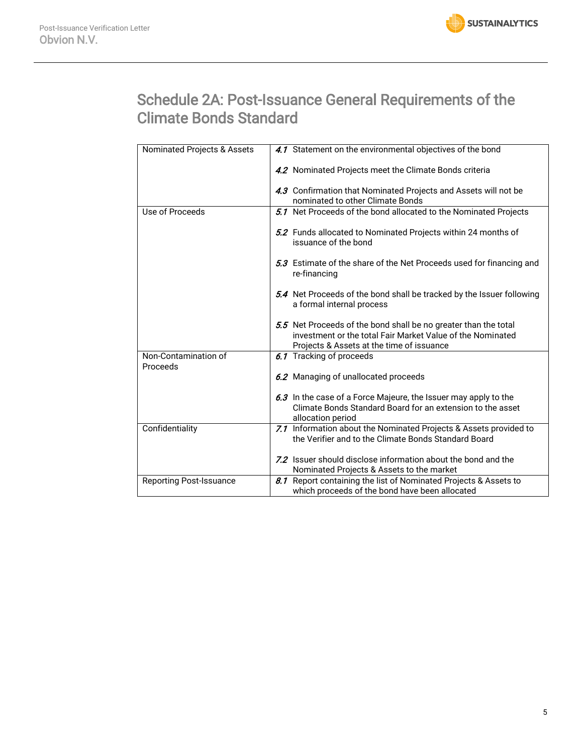

## Schedule 2A: Post-Issuance General Requirements of the Climate Bonds Standard

| Nominated Projects & Assets      | 4.1 Statement on the environmental objectives of the bond                                                                                                                  |
|----------------------------------|----------------------------------------------------------------------------------------------------------------------------------------------------------------------------|
|                                  | 4.2 Nominated Projects meet the Climate Bonds criteria                                                                                                                     |
|                                  | 4.3 Confirmation that Nominated Projects and Assets will not be                                                                                                            |
|                                  | nominated to other Climate Bonds                                                                                                                                           |
| Use of Proceeds                  | 5.1 Net Proceeds of the bond allocated to the Nominated Projects                                                                                                           |
|                                  | 5.2 Funds allocated to Nominated Projects within 24 months of<br>issuance of the bond                                                                                      |
|                                  | 5.3 Estimate of the share of the Net Proceeds used for financing and<br>re-financing                                                                                       |
|                                  | 5.4 Net Proceeds of the bond shall be tracked by the Issuer following<br>a formal internal process                                                                         |
|                                  | 5.5 Net Proceeds of the bond shall be no greater than the total<br>investment or the total Fair Market Value of the Nominated<br>Projects & Assets at the time of issuance |
| Non-Contamination of<br>Proceeds | 6.1 Tracking of proceeds                                                                                                                                                   |
|                                  | 6.2 Managing of unallocated proceeds                                                                                                                                       |
|                                  | 6.3 In the case of a Force Majeure, the Issuer may apply to the                                                                                                            |
|                                  |                                                                                                                                                                            |
|                                  | Climate Bonds Standard Board for an extension to the asset<br>allocation period                                                                                            |
| Confidentiality                  | 7.1 Information about the Nominated Projects & Assets provided to                                                                                                          |
|                                  | the Verifier and to the Climate Bonds Standard Board                                                                                                                       |
|                                  | 7.2 Issuer should disclose information about the bond and the                                                                                                              |
|                                  | Nominated Projects & Assets to the market                                                                                                                                  |
| <b>Reporting Post-Issuance</b>   | 8.1 Report containing the list of Nominated Projects & Assets to                                                                                                           |
|                                  | which proceeds of the bond have been allocated                                                                                                                             |
|                                  |                                                                                                                                                                            |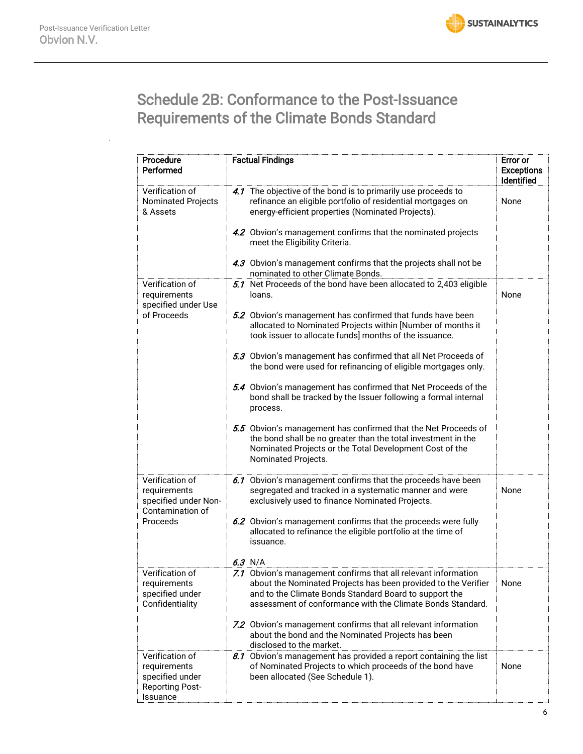

# Schedule 2B: Conformance to the Post-Issuance Requirements of the Climate Bonds Standard

| Procedure<br>Performed                                                                   | <b>Factual Findings</b>                                                                                                                                                                                                                                                                                                                                                                                                                                                                                                                                                                                                                                                                                                                                                       | <b>Error or</b><br><b>Exceptions</b><br>Identified |
|------------------------------------------------------------------------------------------|-------------------------------------------------------------------------------------------------------------------------------------------------------------------------------------------------------------------------------------------------------------------------------------------------------------------------------------------------------------------------------------------------------------------------------------------------------------------------------------------------------------------------------------------------------------------------------------------------------------------------------------------------------------------------------------------------------------------------------------------------------------------------------|----------------------------------------------------|
| Verification of<br><b>Nominated Projects</b><br>& Assets                                 | 4.1 The objective of the bond is to primarily use proceeds to<br>refinance an eligible portfolio of residential mortgages on<br>energy-efficient properties (Nominated Projects).<br>4.2 Obvion's management confirms that the nominated projects<br>meet the Eligibility Criteria.<br>4.3 Obvion's management confirms that the projects shall not be<br>nominated to other Climate Bonds.                                                                                                                                                                                                                                                                                                                                                                                   | None                                               |
| Verification of<br>requirements<br>specified under Use<br>of Proceeds                    | 5.1 Net Proceeds of the bond have been allocated to 2,403 eligible<br>loans.<br>5.2 Obvion's management has confirmed that funds have been<br>allocated to Nominated Projects within [Number of months it<br>took issuer to allocate funds] months of the issuance.<br>5.3 Obvion's management has confirmed that all Net Proceeds of<br>the bond were used for refinancing of eligible mortgages only.<br>5.4 Obvion's management has confirmed that Net Proceeds of the<br>bond shall be tracked by the Issuer following a formal internal<br>process.<br>5.5 Obvion's management has confirmed that the Net Proceeds of<br>the bond shall be no greater than the total investment in the<br>Nominated Projects or the Total Development Cost of the<br>Nominated Projects. | None                                               |
| Verification of<br>requirements<br>specified under Non-<br>Contamination of<br>Proceeds  | 6.1 Obvion's management confirms that the proceeds have been<br>segregated and tracked in a systematic manner and were<br>exclusively used to finance Nominated Projects.<br>6.2 Obvion's management confirms that the proceeds were fully<br>allocated to refinance the eligible portfolio at the time of<br>issuance.<br>$6.3$ N/A                                                                                                                                                                                                                                                                                                                                                                                                                                          | None                                               |
| Verification of<br>requirements<br>specified under<br>Confidentiality                    | 7.1 Obvion's management confirms that all relevant information<br>about the Nominated Projects has been provided to the Verifier<br>and to the Climate Bonds Standard Board to support the<br>assessment of conformance with the Climate Bonds Standard.<br>7.2 Obvion's management confirms that all relevant information<br>about the bond and the Nominated Projects has been<br>disclosed to the market.                                                                                                                                                                                                                                                                                                                                                                  | None                                               |
| Verification of<br>requirements<br>specified under<br><b>Reporting Post-</b><br>Issuance | 8.1 Obvion's management has provided a report containing the list<br>of Nominated Projects to which proceeds of the bond have<br>been allocated (See Schedule 1).                                                                                                                                                                                                                                                                                                                                                                                                                                                                                                                                                                                                             | None                                               |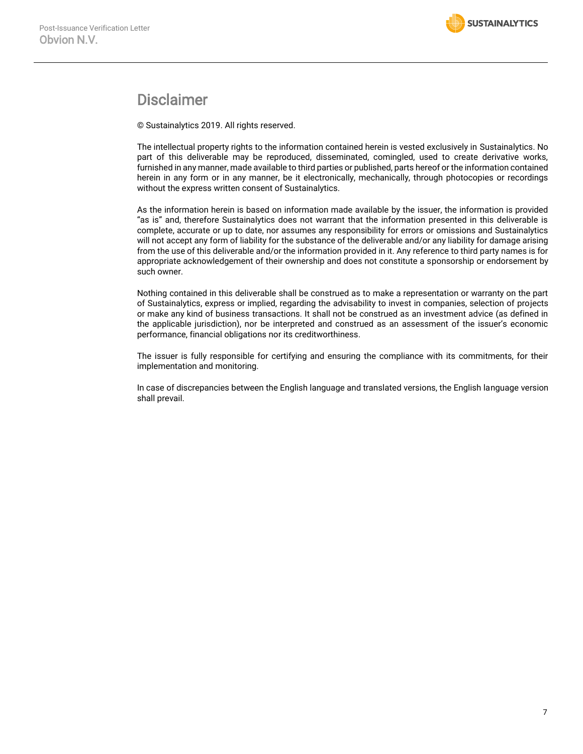### Disclaimer

© Sustainalytics 2019. All rights reserved.

The intellectual property rights to the information contained herein is vested exclusively in Sustainalytics. No part of this deliverable may be reproduced, disseminated, comingled, used to create derivative works, furnished in any manner, made available to third parties or published, parts hereof or the information contained herein in any form or in any manner, be it electronically, mechanically, through photocopies or recordings without the express written consent of Sustainalytics.

As the information herein is based on information made available by the issuer, the information is provided "as is" and, therefore Sustainalytics does not warrant that the information presented in this deliverable is complete, accurate or up to date, nor assumes any responsibility for errors or omissions and Sustainalytics will not accept any form of liability for the substance of the deliverable and/or any liability for damage arising from the use of this deliverable and/or the information provided in it. Any reference to third party names is for appropriate acknowledgement of their ownership and does not constitute a sponsorship or endorsement by such owner.

Nothing contained in this deliverable shall be construed as to make a representation or warranty on the part of Sustainalytics, express or implied, regarding the advisability to invest in companies, selection of projects or make any kind of business transactions. It shall not be construed as an investment advice (as defined in the applicable jurisdiction), nor be interpreted and construed as an assessment of the issuer's economic performance, financial obligations nor its creditworthiness.

The issuer is fully responsible for certifying and ensuring the compliance with its commitments, for their implementation and monitoring.

In case of discrepancies between the English language and translated versions, the English language version shall prevail.